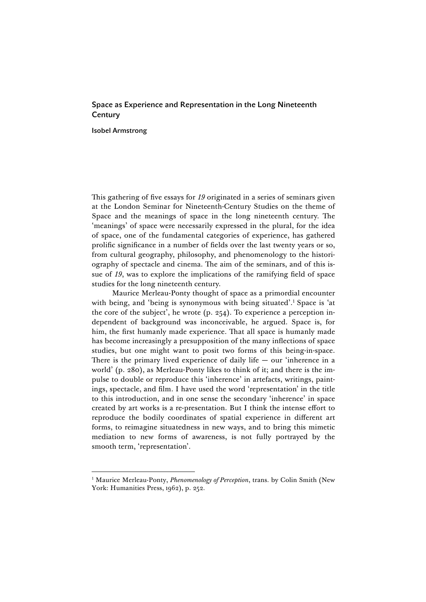## Space as Experience and Representation in the Long Nineteenth **Century**

Isobel Armstrong

 $\overline{a}$ 

This gathering of five essays for *19* originated in a series of seminars given at the London Seminar for Nineteenth-Century Studies on the theme of Space and the meanings of space in the long nineteenth century. The 'meanings' of space were necessarily expressed in the plural, for the idea of space, one of the fundamental categories of experience, has gathered prolific significance in a number of fields over the last twenty years or so, from cultural geography, philosophy, and phenomenology to the historiography of spectacle and cinema. The aim of the seminars, and of this issue of *19*, was to explore the implications of the ramifying field of space studies for the long nineteenth century.

Maurice Merleau-Ponty thought of space as a primordial encounter with being, and 'being is synonymous with being situated'.<sup>1</sup> Space is 'at the core of the subject', he wrote (p. 254). To experience a perception independent of background was inconceivable, he argued. Space is, for him, the first humanly made experience. That all space is humanly made has become increasingly a presupposition of the many inflections of space studies, but one might want to posit two forms of this being-in-space. There is the primary lived experience of daily life  $-$  our 'inherence in a world' (p. 280), as Merleau-Ponty likes to think of it; and there is the impulse to double or reproduce this 'inherence' in artefacts, writings, paintings, spectacle, and film. I have used the word 'representation' in the title to this introduction, and in one sense the secondary 'inherence' in space created by art works is a re-presentation. But I think the intense effort to reproduce the bodily coordinates of spatial experience in different art forms, to reimagine situatedness in new ways, and to bring this mimetic mediation to new forms of awareness, is not fully portrayed by the smooth term, 'representation'.

<sup>&</sup>lt;sup>1</sup> Maurice Merleau-Ponty, *Phenomenology of Perception*, trans. by Colin Smith (New York: Humanities Press, 1962), p. 252.